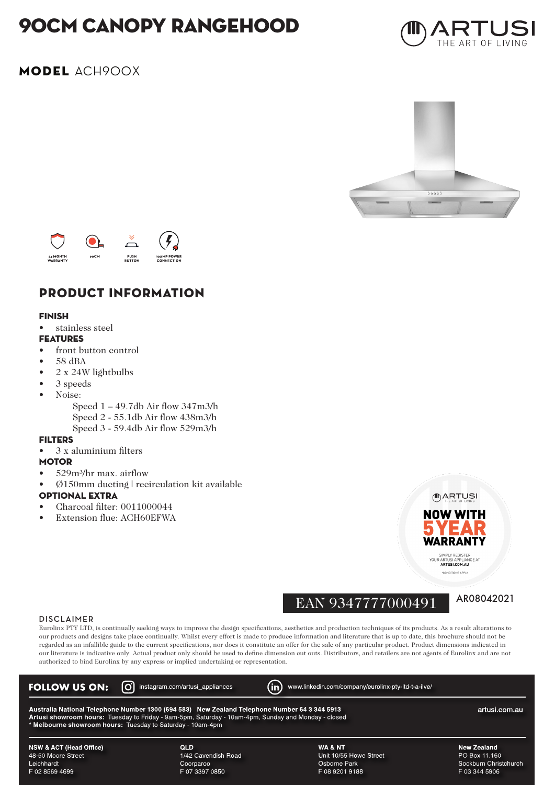# 90cm canopy rangehood



## MODEL ACH900X





## PRODUCT INFORMATION

#### FINISH

stainless steel

#### FEATURES

- front button control
- 58 dBA
- 2 x 24W lightbulbs
- 3 speeds
- Noise:
	- Speed 1 49.7db Air flow 347m3/h Speed 2 - 55.1db Air flow 438m3/h Speed 3 - 59.4db Air flow 529m3/h

#### **FILTERS**

• 3 x aluminium filters

#### **MOTOR**

- 529m³/hr max. airflow
- Ø150mm ducting | recirculation kit available

#### OPTIONAL EXTRA

- Charcoal filter: 0011000044
- Extension flue: ACH60EFWA

# EAN 9347777000491 AR08042021

.<br>CE 41

(II) ARTUSI **NOW WITH** 

WARRANT SIMPLY REGISTER<br>YOUR ARTUSI APPLIAN<br>ARTUSI.COM.AU

**CONDITIONS ARRE** 

#### **DISCLAIMER**

Eurolinx PTY LTD, is continually seeking ways to improve the design specifications, aesthetics and production techniques of its products. As a result alterations to our products and designs take place continually. Whilst every effort is made to produce information and literature that is up to date, this brochure should not be regarded as an infallible guide to the current specifications, nor does it constitute an offer for the sale of any particular product. Product dimensions indicated in our literature is indicative only. Actual product only should be used to define dimension cut outs. Distributors, and retailers are not agents of Eurolinx and are not authorized to bind Eurolinx by any express or implied undertaking or representation.

| ര്ര<br><b>FOLLOW US ON:</b>                                                                                                                                                                                                                                                         | instagram.com/artusi appliances | M<br>www.linkedin.com/company/eurolinx-pty-ltd-t-a-ilve/ |                       |  |  |
|-------------------------------------------------------------------------------------------------------------------------------------------------------------------------------------------------------------------------------------------------------------------------------------|---------------------------------|----------------------------------------------------------|-----------------------|--|--|
| Australia National Telephone Number 1300 (694 583) New Zealand Telephone Number 64 3 344 5913<br>artusi.com.au<br>Artusi showroom hours: Tuesday to Friday - 9am-5pm, Saturday - 10am-4pm, Sunday and Monday - closed<br>* Melbourne showroom hours: Tuesday to Saturday - 10am-4pm |                                 |                                                          |                       |  |  |
| NSW & ACT (Head Office)                                                                                                                                                                                                                                                             | <b>QLD</b>                      | WA & NT                                                  | New Zealand           |  |  |
| 48-50 Moore Street                                                                                                                                                                                                                                                                  | 1/42 Cavendish Road             | Unit 10/55 Howe Street                                   | PO Box 11.160         |  |  |
| Leichhardt                                                                                                                                                                                                                                                                          | Coorparoo                       | Osborne Park                                             | Sockburn Christchurch |  |  |
| F 02 8569 4699                                                                                                                                                                                                                                                                      | F 07 3397 0850                  | F 08 9201 9188                                           | F 03 344 5906         |  |  |